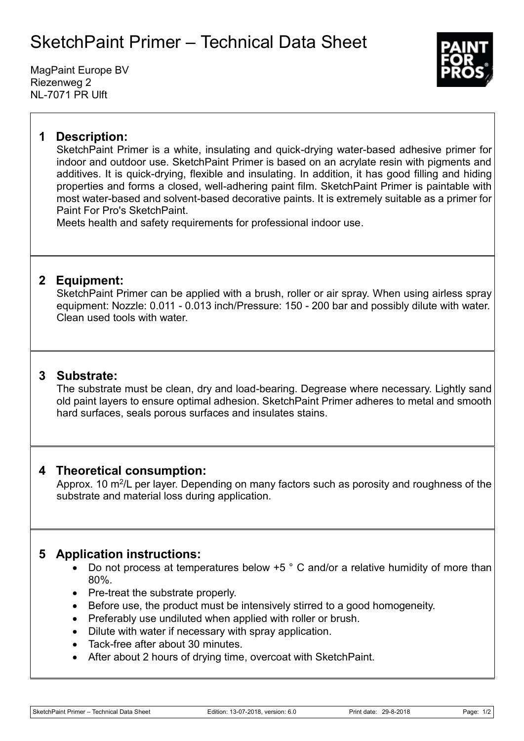## SketchPaint Primer – Technical Data Sheet

MagPaint Europe BV Riezenweg 2 NL-7071 PR Ulft



### **1 Description:**

SketchPaint Primer is a white, insulating and quick-drying water-based adhesive primer for indoor and outdoor use. SketchPaint Primer is based on an acrylate resin with pigments and additives. It is quick-drying, flexible and insulating. In addition, it has good filling and hiding properties and forms a closed, well-adhering paint film. SketchPaint Primer is paintable with most water-based and solvent-based decorative paints. It is extremely suitable as a primer for Paint For Pro's SketchPaint.

Meets health and safety requirements for professional indoor use.

#### **2 Equipment:**

SketchPaint Primer can be applied with a brush, roller or air spray. When using airless spray equipment: Nozzle: 0.011 - 0.013 inch/Pressure: 150 - 200 bar and possibly dilute with water. Clean used tools with water.

#### **3 Substrate:**

The substrate must be clean, dry and load-bearing. Degrease where necessary. Lightly sand old paint layers to ensure optimal adhesion. SketchPaint Primer adheres to metal and smooth hard surfaces, seals porous surfaces and insulates stains.

#### **4 Theoretical consumption:**

Approx. 10 m<sup>2</sup>/L per layer. Depending on many factors such as porosity and roughness of the substrate and material loss during application.

#### **5 Application instructions:**

- Do not process at temperatures below +5 ° C and/or a relative humidity of more than 80%.
- Pre-treat the substrate properly.
- Before use, the product must be intensively stirred to a good homogeneity.
- Preferably use undiluted when applied with roller or brush.
- Dilute with water if necessary with spray application.
- Tack-free after about 30 minutes.
- After about 2 hours of drying time, overcoat with SketchPaint.